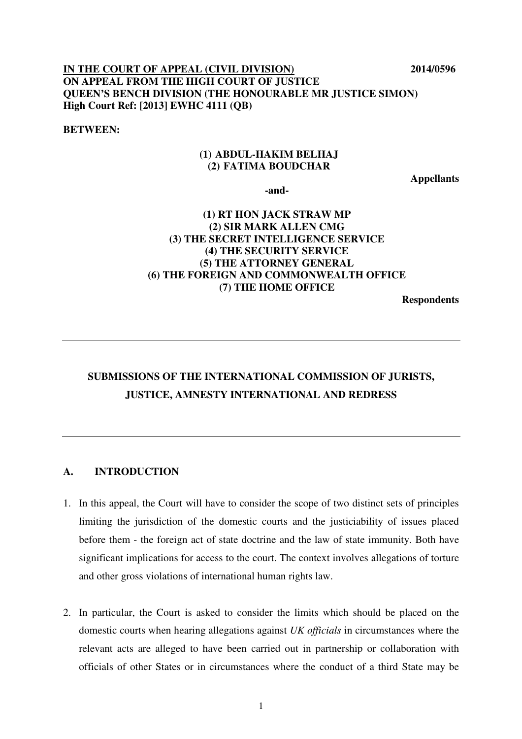## **IN THE COURT OF APPEAL (CIVIL DIVISION) 2014/0596 ON APPEAL FROM THE HIGH COURT OF JUSTICE QUEEN'S BENCH DIVISION (THE HONOURABLE MR JUSTICE SIMON) High Court Ref: [2013] EWHC 4111 (QB)**

#### **BETWEEN:**

### **(1) ABDUL-HAKIM BELHAJ (2) FATIMA BOUDCHAR**

**Appellants** 

**-and-** 

## **(1) RT HON JACK STRAW MP (2) SIR MARK ALLEN CMG (3) THE SECRET INTELLIGENCE SERVICE (4) THE SECURITY SERVICE (5) THE ATTORNEY GENERAL (6) THE FOREIGN AND COMMONWEALTH OFFICE (7) THE HOME OFFICE**

**Respondents** 

## **SUBMISSIONS OF THE INTERNATIONAL COMMISSION OF JURISTS, JUSTICE, AMNESTY INTERNATIONAL AND REDRESS**

### **A. INTRODUCTION**

- 1. In this appeal, the Court will have to consider the scope of two distinct sets of principles limiting the jurisdiction of the domestic courts and the justiciability of issues placed before them - the foreign act of state doctrine and the law of state immunity. Both have significant implications for access to the court. The context involves allegations of torture and other gross violations of international human rights law.
- 2. In particular, the Court is asked to consider the limits which should be placed on the domestic courts when hearing allegations against *UK officials* in circumstances where the relevant acts are alleged to have been carried out in partnership or collaboration with officials of other States or in circumstances where the conduct of a third State may be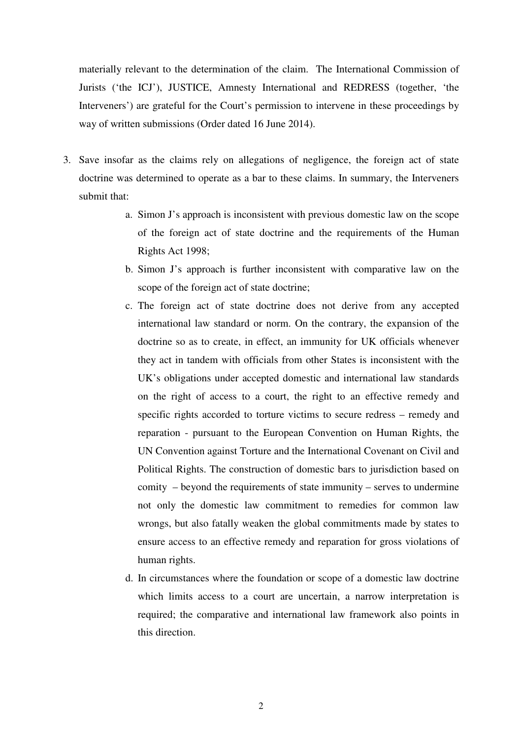materially relevant to the determination of the claim. The International Commission of Jurists ('the ICJ'), JUSTICE, Amnesty International and REDRESS (together, 'the Interveners') are grateful for the Court's permission to intervene in these proceedings by way of written submissions (Order dated 16 June 2014).

- 3. Save insofar as the claims rely on allegations of negligence, the foreign act of state doctrine was determined to operate as a bar to these claims. In summary, the Interveners submit that:
	- a. Simon J's approach is inconsistent with previous domestic law on the scope of the foreign act of state doctrine and the requirements of the Human Rights Act 1998;
	- b. Simon J's approach is further inconsistent with comparative law on the scope of the foreign act of state doctrine;
	- c. The foreign act of state doctrine does not derive from any accepted international law standard or norm. On the contrary, the expansion of the doctrine so as to create, in effect, an immunity for UK officials whenever they act in tandem with officials from other States is inconsistent with the UK's obligations under accepted domestic and international law standards on the right of access to a court, the right to an effective remedy and specific rights accorded to torture victims to secure redress – remedy and reparation - pursuant to the European Convention on Human Rights, the UN Convention against Torture and the International Covenant on Civil and Political Rights. The construction of domestic bars to jurisdiction based on comity – beyond the requirements of state immunity – serves to undermine not only the domestic law commitment to remedies for common law wrongs, but also fatally weaken the global commitments made by states to ensure access to an effective remedy and reparation for gross violations of human rights.
	- d. In circumstances where the foundation or scope of a domestic law doctrine which limits access to a court are uncertain, a narrow interpretation is required; the comparative and international law framework also points in this direction.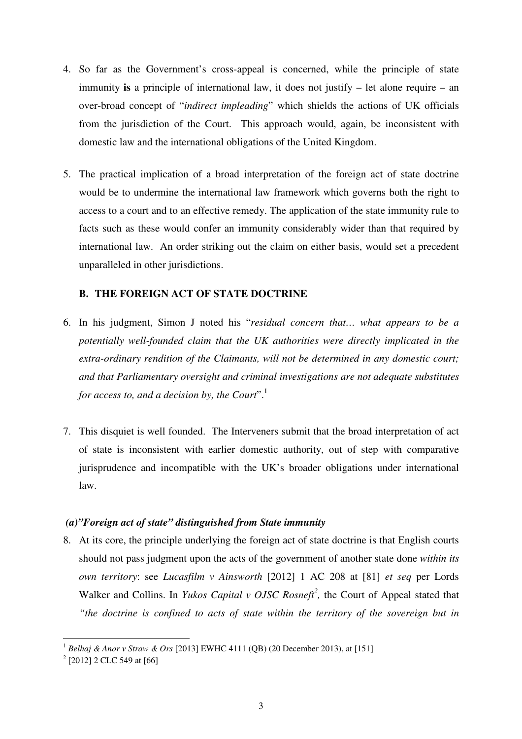- 4. So far as the Government's cross-appeal is concerned, while the principle of state immunity **is** a principle of international law, it does not justify – let alone require – an over-broad concept of "*indirect impleading*" which shields the actions of UK officials from the jurisdiction of the Court. This approach would, again, be inconsistent with domestic law and the international obligations of the United Kingdom.
- 5. The practical implication of a broad interpretation of the foreign act of state doctrine would be to undermine the international law framework which governs both the right to access to a court and to an effective remedy. The application of the state immunity rule to facts such as these would confer an immunity considerably wider than that required by international law. An order striking out the claim on either basis, would set a precedent unparalleled in other jurisdictions.

### **B. THE FOREIGN ACT OF STATE DOCTRINE**

- 6. In his judgment, Simon J noted his "*residual concern that… what appears to be a potentially well-founded claim that the UK authorities were directly implicated in the extra-ordinary rendition of the Claimants, will not be determined in any domestic court; and that Parliamentary oversight and criminal investigations are not adequate substitutes for access to, and a decision by, the Court*".<sup>1</sup>
- 7. This disquiet is well founded. The Interveners submit that the broad interpretation of act of state is inconsistent with earlier domestic authority, out of step with comparative jurisprudence and incompatible with the UK's broader obligations under international law.

### *(a)"Foreign act of state" distinguished from State immunity*

8. At its core, the principle underlying the foreign act of state doctrine is that English courts should not pass judgment upon the acts of the government of another state done *within its own territory*: see *Lucasfilm v Ainsworth* [2012] 1 AC 208 at [81] *et seq* per Lords Walker and Collins. In *Yukos Capital v OJSC Rosneft<sup>2</sup>*, the Court of Appeal stated that *"the doctrine is confined to acts of state within the territory of the sovereign but in* 

<sup>1</sup> *Belhaj & Anor v Straw & Ors* [2013] EWHC 4111 (QB) (20 December 2013), at [151]

 $2$  [2012] 2 CLC 549 at [66]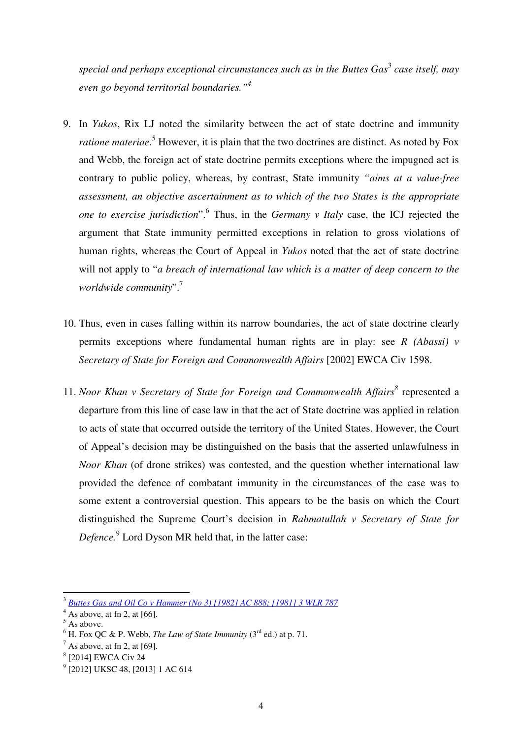special and perhaps exceptional circumstances such as in the Buttes Gas<sup>3</sup> case itself, may *even go beyond territorial boundaries."<sup>4</sup>*

- 9. In *Yukos*, Rix LJ noted the similarity between the act of state doctrine and immunity ratione materiae.<sup>5</sup> However, it is plain that the two doctrines are distinct. As noted by Fox and Webb, the foreign act of state doctrine permits exceptions where the impugned act is contrary to public policy, whereas, by contrast, State immunity *"aims at a value-free assessment, an objective ascertainment as to which of the two States is the appropriate*  one to exercise jurisdiction". <sup>6</sup> Thus, in the *Germany v Italy* case, the ICJ rejected the argument that State immunity permitted exceptions in relation to gross violations of human rights, whereas the Court of Appeal in *Yukos* noted that the act of state doctrine will not apply to "*a breach of international law which is a matter of deep concern to the worldwide community*".<sup>7</sup>
- 10. Thus, even in cases falling within its narrow boundaries, the act of state doctrine clearly permits exceptions where fundamental human rights are in play: see *R (Abassi) v Secretary of State for Foreign and Commonwealth Affairs* [2002] EWCA Civ 1598.
- 11. *Noor Khan v Secretary of State for Foreign and Commonwealth Affairs*<sup>8</sup> represented a departure from this line of case law in that the act of State doctrine was applied in relation to acts of state that occurred outside the territory of the United States. However, the Court of Appeal's decision may be distinguished on the basis that the asserted unlawfulness in *Noor Khan* (of drone strikes) was contested, and the question whether international law provided the defence of combatant immunity in the circumstances of the case was to some extent a controversial question. This appears to be the basis on which the Court distinguished the Supreme Court's decision in *Rahmatullah v Secretary of State for Defence.*<sup>9</sup> Lord Dyson MR held that, in the latter case:

<sup>3</sup> *Buttes Gas and Oil Co v Hammer (No 3) [1982] AC 888; [1981] 3 WLR 787*

 $<sup>4</sup>$  As above, at fn 2, at [66].</sup>

 $<sup>5</sup>$  As above.</sup>

 $^6$  H. Fox QC & P. Webb, *The Law of State Immunity* (3<sup>rd</sup> ed.) at p. 71.

 $^7$  As above, at fn 2, at [69].

<sup>8</sup> [2014] EWCA Civ 24

<sup>&</sup>lt;sup>9</sup> [2012] UKSC 48, [2013] 1 AC 614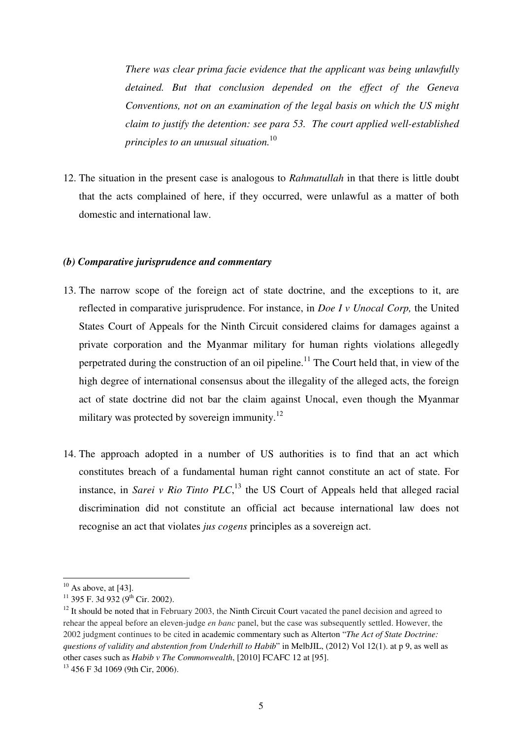*There was clear prima facie evidence that the applicant was being unlawfully detained. But that conclusion depended on the effect of the Geneva Conventions, not on an examination of the legal basis on which the US might claim to justify the detention: see para 53. The court applied well-established principles to an unusual situation.*<sup>10</sup>

12. The situation in the present case is analogous to *Rahmatullah* in that there is little doubt that the acts complained of here, if they occurred, were unlawful as a matter of both domestic and international law.

#### *(b) Comparative jurisprudence and commentary*

- 13. The narrow scope of the foreign act of state doctrine, and the exceptions to it, are reflected in comparative jurisprudence. For instance, in *Doe I v Unocal Corp,* the United States Court of Appeals for the Ninth Circuit considered claims for damages against a private corporation and the Myanmar military for human rights violations allegedly perpetrated during the construction of an oil pipeline.<sup>11</sup> The Court held that, in view of the high degree of international consensus about the illegality of the alleged acts, the foreign act of state doctrine did not bar the claim against Unocal, even though the Myanmar military was protected by sovereign immunity.<sup>12</sup>
- 14. The approach adopted in a number of US authorities is to find that an act which constitutes breach of a fundamental human right cannot constitute an act of state. For instance, in *Sarei v Rio Tinto PLC*, <sup>13</sup> the US Court of Appeals held that alleged racial discrimination did not constitute an official act because international law does not recognise an act that violates *jus cogens* principles as a sovereign act.

 $10$  As above, at [43].

 $11$  395 F. 3d 932 (9<sup>th</sup> Cir. 2002).

<sup>&</sup>lt;sup>12</sup> It should be noted that in February 2003, the Ninth Circuit Court vacated the panel decision and agreed to rehear the appeal before an eleven-judge *en banc* panel, but the case was subsequently settled. However, the 2002 judgment continues to be cited in academic commentary such as Alterton "*The Act of State Doctrine: questions of validity and abstention from Underhill to Habib*" in MelbJIL, (2012) Vol 12(1). at p 9, as well as other cases such as *Habib v The Commonwealth*, [2010] FCAFC 12 at [95].

<sup>13</sup> 456 F 3d 1069 (9th Cir, 2006).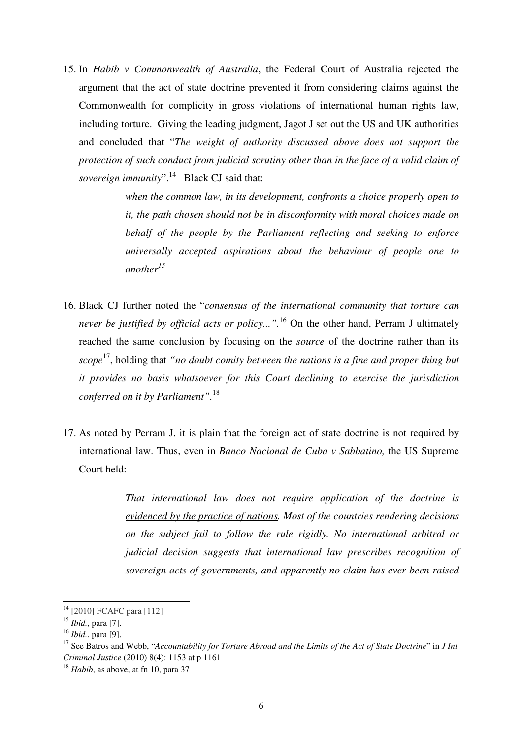15. In *Habib v Commonwealth of Australia*, the Federal Court of Australia rejected the argument that the act of state doctrine prevented it from considering claims against the Commonwealth for complicity in gross violations of international human rights law, including torture. Giving the leading judgment, Jagot J set out the US and UK authorities and concluded that "*The weight of authority discussed above does not support the protection of such conduct from judicial scrutiny other than in the face of a valid claim of sovereign immunity*".<sup>14</sup> Black CJ said that:

> *when the common law, in its development, confronts a choice properly open to it, the path chosen should not be in disconformity with moral choices made on behalf of the people by the Parliament reflecting and seeking to enforce universally accepted aspirations about the behaviour of people one to another<sup>15</sup>*

- 16. Black CJ further noted the "*consensus of the international community that torture can never be justified by official acts or policy...".*<sup>16</sup> On the other hand, Perram J ultimately reached the same conclusion by focusing on the *source* of the doctrine rather than its *scope* <sup>17</sup>, holding that *"no doubt comity between the nations is a fine and proper thing but it provides no basis whatsoever for this Court declining to exercise the jurisdiction conferred on it by Parliament".*<sup>18</sup>
- 17. As noted by Perram J, it is plain that the foreign act of state doctrine is not required by international law. Thus, even in *Banco Nacional de Cuba v Sabbatino,* the US Supreme Court held:

*That international law does not require application of the doctrine is evidenced by the practice of nations. Most of the countries rendering decisions on the subject fail to follow the rule rigidly. No international arbitral or judicial decision suggests that international law prescribes recognition of sovereign acts of governments, and apparently no claim has ever been raised* 

<sup>14</sup> [2010] FCAFC para [112]

<sup>15</sup> *Ibid.*, para [7].

<sup>16</sup> *Ibid.*, para [9].

<sup>17</sup> See Batros and Webb, "*Accountability for Torture Abroad and the Limits of the Act of State Doctrine*" in *J Int Criminal Justice* (2010) 8(4): 1153 at p 1161

<sup>18</sup> *Habib*, as above, at fn 10, para 37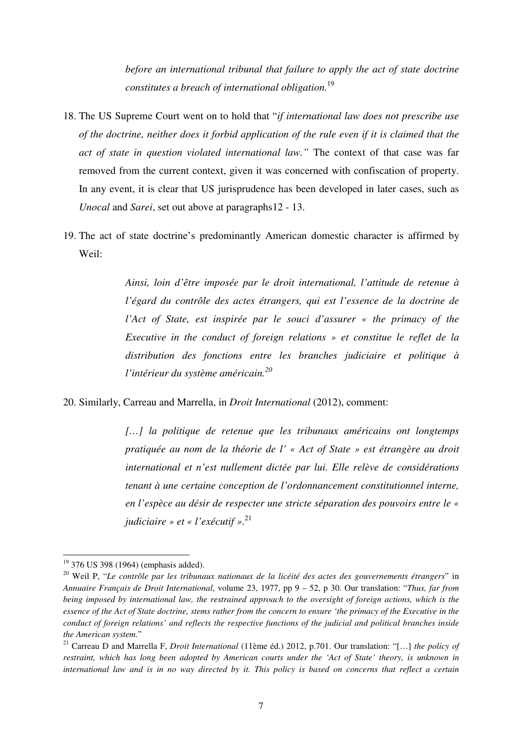*before an international tribunal that failure to apply the act of state doctrine constitutes a breach of international obligation.*<sup>19</sup>

- 18. The US Supreme Court went on to hold that "*if international law does not prescribe use of the doctrine, neither does it forbid application of the rule even if it is claimed that the act of state in question violated international law."* The context of that case was far removed from the current context, given it was concerned with confiscation of property. In any event, it is clear that US jurisprudence has been developed in later cases, such as *Unocal* and *Sarei*, set out above at paragraphs12 - 13.
- 19. The act of state doctrine's predominantly American domestic character is affirmed by Weil:

*Ainsi, loin d'être imposée par le droit international, l'attitude de retenue à l'égard du contrôle des actes étrangers, qui est l'essence de la doctrine de l'Act of State, est inspirée par le souci d'assurer « the primacy of the Executive in the conduct of foreign relations » et constitue le reflet de la distribution des fonctions entre les branches judiciaire et politique à l'intérieur du système américain.<sup>20</sup>*

20. Similarly, Carreau and Marrella, in *Droit International* (2012), comment:

*[…] la politique de retenue que les tribunaux américains ont longtemps pratiquée au nom de la théorie de l' « Act of State » est étrangère au droit international et n'est nullement dictée par lui. Elle relève de considérations tenant à une certaine conception de l'ordonnancement constitutionnel interne, en l'espèce au désir de respecter une stricte séparation des pouvoirs entre le « judiciaire » et « l'exécutif »*. 21

 $19$  376 US 398 (1964) (emphasis added).

<sup>20</sup> Weil P, "*Le contrôle par les tribunaux nationaux de la licéité des actes des gouvernements étrangers*" in *Annuaire Français de Droit International*, volume 23, 1977, pp 9 – 52, p 30. Our translation: "*Thus, far from being imposed by international law, the restrained approach to the oversight of foreign actions, which is the essence of the Act of State doctrine, stems rather from the concern to ensure 'the primacy of the Executive in the conduct of foreign relations' and reflects the respective functions of the judicial and political branches inside the American system.*"

<sup>21</sup> Carreau D and Marrella F, *Droit International* (11ème éd.) 2012, p.701. Our translation: "[…] *the policy of restraint, which has long been adopted by American courts under the 'Act of State' theory, is unknown in international law and is in no way directed by it. This policy is based on concerns that reflect a certain*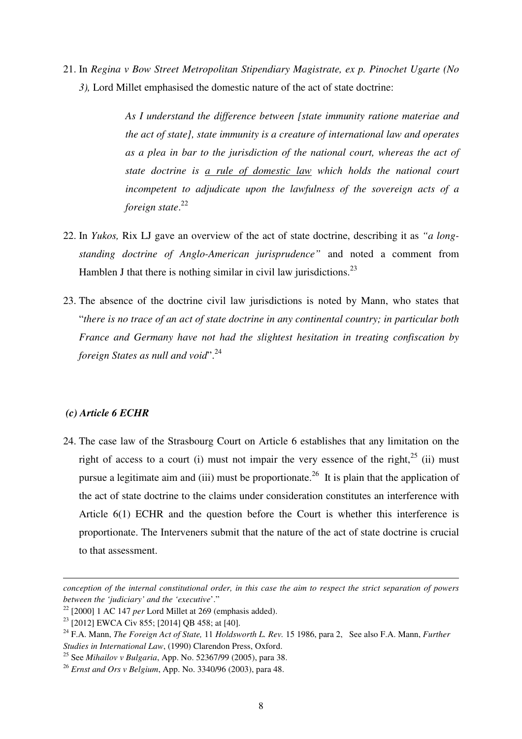21. In *Regina v Bow Street Metropolitan Stipendiary Magistrate, ex p. Pinochet Ugarte (No 3),* Lord Millet emphasised the domestic nature of the act of state doctrine:

> *As I understand the difference between [state immunity ratione materiae and the act of state], state immunity is a creature of international law and operates as a plea in bar to the jurisdiction of the national court, whereas the act of state doctrine is a rule of domestic law which holds the national court incompetent to adjudicate upon the lawfulness of the sovereign acts of a foreign state*. 22

- 22. In *Yukos,* Rix LJ gave an overview of the act of state doctrine, describing it as *"a longstanding doctrine of Anglo-American jurisprudence"* and noted a comment from Hamblen J that there is nothing similar in civil law jurisdictions.<sup>23</sup>
- 23. The absence of the doctrine civil law jurisdictions is noted by Mann, who states that "*there is no trace of an act of state doctrine in any continental country; in particular both France and Germany have not had the slightest hesitation in treating confiscation by foreign States as null and void*".<sup>24</sup>

#### *(c) Article 6 ECHR*

l

24. The case law of the Strasbourg Court on Article 6 establishes that any limitation on the right of access to a court (i) must not impair the very essence of the right,<sup>25</sup> (ii) must pursue a legitimate aim and (iii) must be proportionate.<sup>26</sup> It is plain that the application of the act of state doctrine to the claims under consideration constitutes an interference with Article 6(1) ECHR and the question before the Court is whether this interference is proportionate. The Interveners submit that the nature of the act of state doctrine is crucial to that assessment.

*conception of the internal constitutional order, in this case the aim to respect the strict separation of powers between the 'judiciary' and the 'executive*'."

<sup>22</sup> [2000] 1 AC 147 *per* Lord Millet at 269 (emphasis added).

<sup>23</sup> [2012] EWCA Civ 855; [2014] QB 458; at [40].

<sup>&</sup>lt;sup>24</sup> F.A. Mann, *The Foreign Act of State, 11 Holdsworth L. Rev. 15 1986, para 2, See also F.A. Mann, <i>Further Studies in International Law*, (1990) Clarendon Press, Oxford.

<sup>25</sup> See *Mihailov v Bulgaria*, App. No. 52367/99 (2005), para 38.

<sup>26</sup> *Ernst and Ors v Belgium*, App. No. 3340/96 (2003), para 48.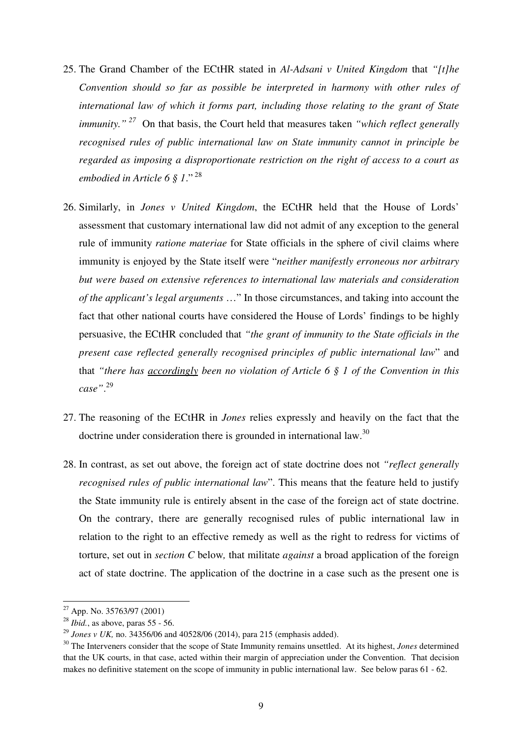- 25. The Grand Chamber of the ECtHR stated in *Al-Adsani v United Kingdom* that *"[t]he Convention should so far as possible be interpreted in harmony with other rules of international law of which it forms part, including those relating to the grant of State immunity."<sup>27</sup>* On that basis, the Court held that measures taken *"which reflect generally recognised rules of public international law on State immunity cannot in principle be regarded as imposing a disproportionate restriction on the right of access to a court as embodied in Article 6 § 1*." <sup>28</sup>
- 26. Similarly, in *Jones v United Kingdom*, the ECtHR held that the House of Lords' assessment that customary international law did not admit of any exception to the general rule of immunity *ratione materiae* for State officials in the sphere of civil claims where immunity is enjoyed by the State itself were "*neither manifestly erroneous nor arbitrary but were based on extensive references to international law materials and consideration of the applicant's legal arguments* …" In those circumstances, and taking into account the fact that other national courts have considered the House of Lords' findings to be highly persuasive, the ECtHR concluded that *"the grant of immunity to the State officials in the present case reflected generally recognised principles of public international law*" and that *"there has accordingly been no violation of Article 6 § 1 of the Convention in this case"*. 29
- 27. The reasoning of the ECtHR in *Jones* relies expressly and heavily on the fact that the doctrine under consideration there is grounded in international law.<sup>30</sup>
- 28. In contrast, as set out above, the foreign act of state doctrine does not *"reflect generally recognised rules of public international law*". This means that the feature held to justify the State immunity rule is entirely absent in the case of the foreign act of state doctrine. On the contrary, there are generally recognised rules of public international law in relation to the right to an effective remedy as well as the right to redress for victims of torture, set out in *section C* below*,* that militate *against* a broad application of the foreign act of state doctrine. The application of the doctrine in a case such as the present one is

 $27$  App. No. 35763/97 (2001)

<sup>28</sup> *Ibid.*, as above, paras 55 - 56.

<sup>&</sup>lt;sup>29</sup> *Jones v UK*, no. 34356/06 and 40528/06 (2014), para 215 (emphasis added).

<sup>30</sup> The Interveners consider that the scope of State Immunity remains unsettled. At its highest, *Jones* determined that the UK courts, in that case, acted within their margin of appreciation under the Convention. That decision makes no definitive statement on the scope of immunity in public international law. See below paras 61 - 62.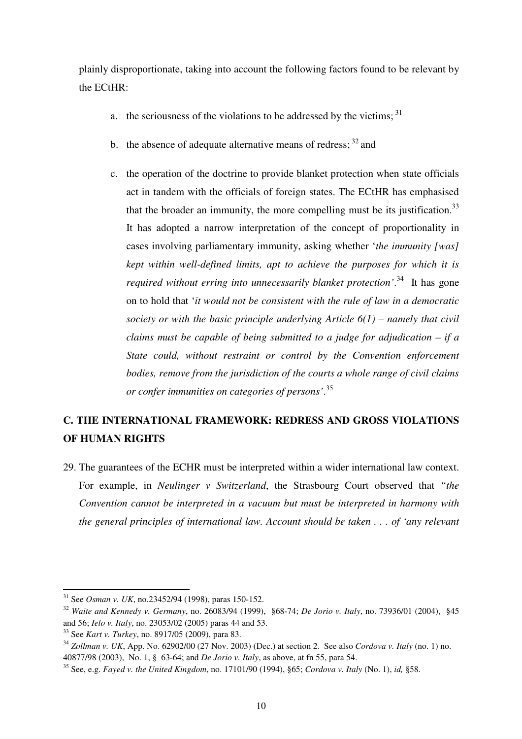plainly disproportionate, taking into account the following factors found to be relevant by the ECtHR:

- a. the seriousness of the violations to be addressed by the victims;  $31$
- b. the absence of adequate alternative means of redress;  $32$  and
- c. the operation of the doctrine to provide blanket protection when state officials act in tandem with the officials of foreign states. The ECtHR has emphasised that the broader an immunity, the more compelling must be its justification.<sup>33</sup> It has adopted a narrow interpretation of the concept of proportionality in cases involving parliamentary immunity, asking whether '*the immunity [was] kept within well-defined limits, apt to achieve the purposes for which it is required without erring into unnecessarily blanket protection'*. <sup>34</sup> It has gone on to hold that '*it would not be consistent with the rule of law in a democratic society or with the basic principle underlying Article 6(1) – namely that civil claims must be capable of being submitted to a judge for adjudication – if a State could, without restraint or control by the Convention enforcement bodies, remove from the jurisdiction of the courts a whole range of civil claims or confer immunities on categories of persons'*. 35

## **C. THE INTERNATIONAL FRAMEWORK: REDRESS AND GROSS VIOLATIONS OF HUMAN RIGHTS**

29. The guarantees of the ECHR must be interpreted within a wider international law context. For example, in *Neulinger v Switzerland*, the Strasbourg Court observed that *"the Convention cannot be interpreted in a vacuum but must be interpreted in harmony with the general principles of international law. Account should be taken . . . of 'any relevant* 

<sup>31</sup> See *Osman v. UK*, no.23452/94 (1998), paras 150-152.

<sup>32</sup> *Waite and Kennedy v. Germany*, no. 26083/94 (1999), §68-74; *De Jorio v. Italy*, no. 73936/01 (2004), §45 and 56; *Ielo v. Italy*, no. 23053/02 (2005) paras 44 and 53.

<sup>33</sup> See *Kart v. Turkey*, no. 8917/05 (2009), para 83.

<sup>34</sup> *Zollman v. UK*, App. No. 62902/00 (27 Nov. 2003) (Dec.) at section 2. See also *Cordova v. Italy* (no. 1) no. 40877/98 (2003), No. 1, § 63-64; and *De Jorio v. Italy*, as above, at fn 55, para 54.

<sup>35</sup> See, e.g. *Fayed v. the United Kingdom*, no. 17101/90 (1994), §65; *Cordova v. Italy* (No. 1), *id,* §58.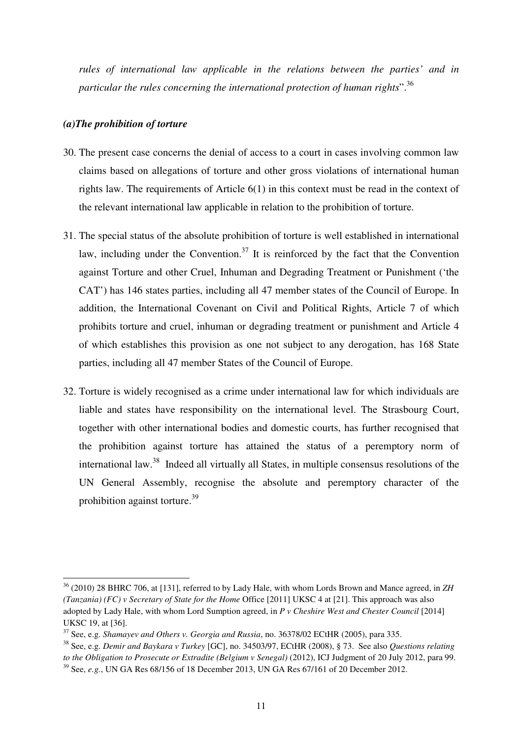*rules of international law applicable in the relations between the parties' and in particular the rules concerning the international protection of human rights*".<sup>36</sup>

## *(a)The prohibition of torture*

- 30. The present case concerns the denial of access to a court in cases involving common law claims based on allegations of torture and other gross violations of international human rights law. The requirements of Article  $6(1)$  in this context must be read in the context of the relevant international law applicable in relation to the prohibition of torture.
- 31. The special status of the absolute prohibition of torture is well established in international law, including under the Convention.<sup>37</sup> It is reinforced by the fact that the Convention against Torture and other Cruel, Inhuman and Degrading Treatment or Punishment ('the CAT') has 146 states parties, including all 47 member states of the Council of Europe. In addition, the International Covenant on Civil and Political Rights, Article 7 of which prohibits torture and cruel, inhuman or degrading treatment or punishment and Article 4 of which establishes this provision as one not subject to any derogation, has 168 State parties, including all 47 member States of the Council of Europe.
- 32. Torture is widely recognised as a crime under international law for which individuals are liable and states have responsibility on the international level. The Strasbourg Court, together with other international bodies and domestic courts, has further recognised that the prohibition against torture has attained the status of a peremptory norm of international law.<sup>38</sup> Indeed all virtually all States, in multiple consensus resolutions of the UN General Assembly, recognise the absolute and peremptory character of the prohibition against torture.<sup>39</sup>

<sup>36</sup> (2010) 28 BHRC 706, at [131], referred to by Lady Hale, with whom Lords Brown and Mance agreed, in *ZH (Tanzania) (FC) v Secretary of State for the Home* Office [2011] UKSC 4 at [21]. This approach was also adopted by Lady Hale, with whom Lord Sumption agreed, in *P v Cheshire West and Chester Council* [2014] UKSC 19, at [36].

<sup>37</sup> See, e.g. *Shamayev and Others v. Georgia and Russia*, no. 36378/02 ECtHR (2005), para 335.

<sup>38</sup> See, e.g. *Demir and Baykara v Turkey* [GC], no. 34503/97, ECtHR (2008), § 73. See also *Questions relating to the Obligation to Prosecute or Extradite (Belgium v Senegal)* (2012), ICJ Judgment of 20 July 2012, para 99.

<sup>39</sup> See, *e.g.*, UN GA Res 68/156 of 18 December 2013, UN GA Res 67/161 of 20 December 2012.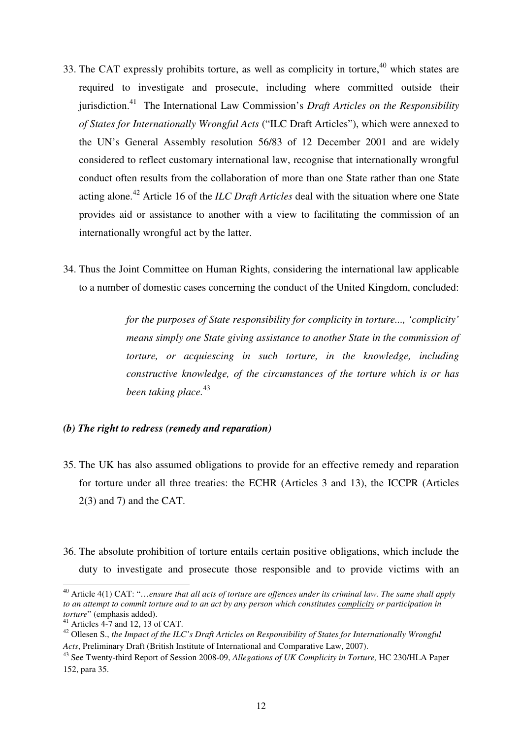- 33. The CAT expressly prohibits torture, as well as complicity in torture,  $40$  which states are required to investigate and prosecute, including where committed outside their jurisdiction.<sup>41</sup> The International Law Commission's *Draft Articles on the Responsibility of States for Internationally Wrongful Acts* ("ILC Draft Articles"), which were annexed to the UN's General Assembly resolution 56/83 of 12 December 2001 and are widely considered to reflect customary international law, recognise that internationally wrongful conduct often results from the collaboration of more than one State rather than one State acting alone.<sup>42</sup> Article 16 of the *ILC Draft Articles* deal with the situation where one State provides aid or assistance to another with a view to facilitating the commission of an internationally wrongful act by the latter.
- 34. Thus the Joint Committee on Human Rights, considering the international law applicable to a number of domestic cases concerning the conduct of the United Kingdom, concluded:

*for the purposes of State responsibility for complicity in torture..., 'complicity' means simply one State giving assistance to another State in the commission of torture, or acquiescing in such torture, in the knowledge, including constructive knowledge, of the circumstances of the torture which is or has been taking place.*<sup>43</sup>

## *(b) The right to redress (remedy and reparation)*

- 35. The UK has also assumed obligations to provide for an effective remedy and reparation for torture under all three treaties: the ECHR (Articles 3 and 13), the ICCPR (Articles 2(3) and 7) and the CAT.
- 36. The absolute prohibition of torture entails certain positive obligations, which include the duty to investigate and prosecute those responsible and to provide victims with an

<sup>40</sup> Article 4(1) CAT: "…*ensure that all acts of torture are offences under its criminal law. The same shall apply to an attempt to commit torture and to an act by any person which constitutes complicity or participation in torture*" (emphasis added).

 $41$  Articles 4-7 and 12, 13 of CAT.

<sup>42</sup> Ollesen S., *the Impact of the ILC's Draft Articles on Responsibility of States for Internationally Wrongful Acts*, Preliminary Draft (British Institute of International and Comparative Law, 2007).

<sup>43</sup> See Twenty-third Report of Session 2008-09, *Allegations of UK Complicity in Torture,* HC 230/HLA Paper 152, para 35.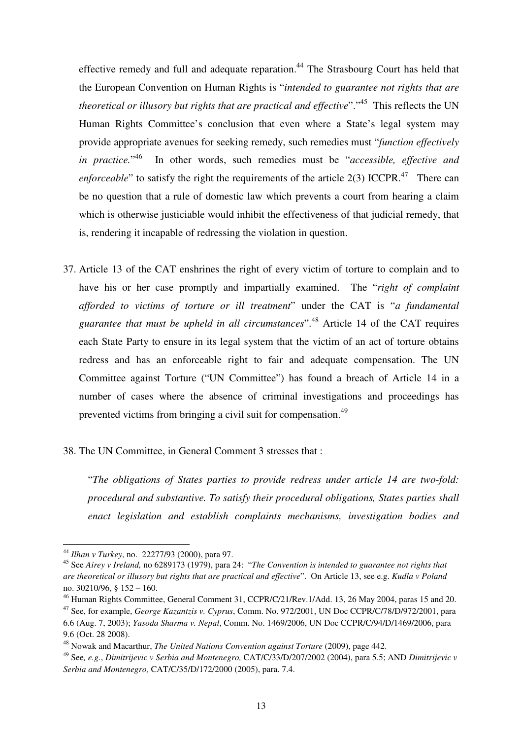effective remedy and full and adequate reparation.<sup>44</sup> The Strasbourg Court has held that the European Convention on Human Rights is "*intended to guarantee not rights that are theoretical or illusory but rights that are practical and effective*".<sup>45</sup> This reflects the UN Human Rights Committee's conclusion that even where a State's legal system may provide appropriate avenues for seeking remedy, such remedies must "*function effectively in practice.*"<sup>46</sup> <sup>46</sup> In other words, such remedies must be "*accessible, effective and enforceable*" to satisfy the right the requirements of the article  $2(3)$  ICCPR.<sup>47</sup> There can be no question that a rule of domestic law which prevents a court from hearing a claim which is otherwise justiciable would inhibit the effectiveness of that judicial remedy, that is, rendering it incapable of redressing the violation in question.

37. Article 13 of the CAT enshrines the right of every victim of torture to complain and to have his or her case promptly and impartially examined. The "*right of complaint afforded to victims of torture or ill treatment*" under the CAT is "*a fundamental guarantee that must be upheld in all circumstances*".<sup>48</sup> Article 14 of the CAT requires each State Party to ensure in its legal system that the victim of an act of torture obtains redress and has an enforceable right to fair and adequate compensation. The UN Committee against Torture ("UN Committee") has found a breach of Article 14 in a number of cases where the absence of criminal investigations and proceedings has prevented victims from bringing a civil suit for compensation.<sup>49</sup>

## 38. The UN Committee, in General Comment 3 stresses that :

"*The obligations of States parties to provide redress under article 14 are two-fold: procedural and substantive. To satisfy their procedural obligations, States parties shall enact legislation and establish complaints mechanisms, investigation bodies and* 

<sup>44</sup> *Ilhan v Turkey*, no. 22277/93 (2000), para 97.

<sup>45</sup> See *Airey v Ireland,* no 6289173 (1979), para 24: "*The Convention is intended to guarantee not rights that are theoretical or illusory but rights that are practical and effective*". On Article 13, see e.g. *Kudla v Poland* no. 30210/96, § 152 – 160.

<sup>46</sup> Human Rights Committee, General Comment 31, CCPR/C/21/Rev.1/Add. 13, 26 May 2004, paras 15 and 20.

<sup>47</sup> See, for example, *George Kazantzis v. Cyprus*, Comm. No. 972/2001, UN Doc CCPR/C/78/D/972/2001, para 6.6 (Aug. 7, 2003); *Yasoda Sharma v. Nepal*, Comm. No. 1469/2006, UN Doc CCPR/C/94/D/1469/2006, para 9.6 (Oct. 28 2008).

<sup>48</sup> Nowak and Macarthur, *The United Nations Convention against Torture* (2009), page 442.

<sup>49</sup> See*, e.g.*, *Dimitrijevic v Serbia and Montenegro,* CAT/C/33/D/207/2002 (2004), para 5.5; AND *Dimitrijevic v Serbia and Montenegro,* CAT/C/35/D/172/2000 (2005), para. 7.4.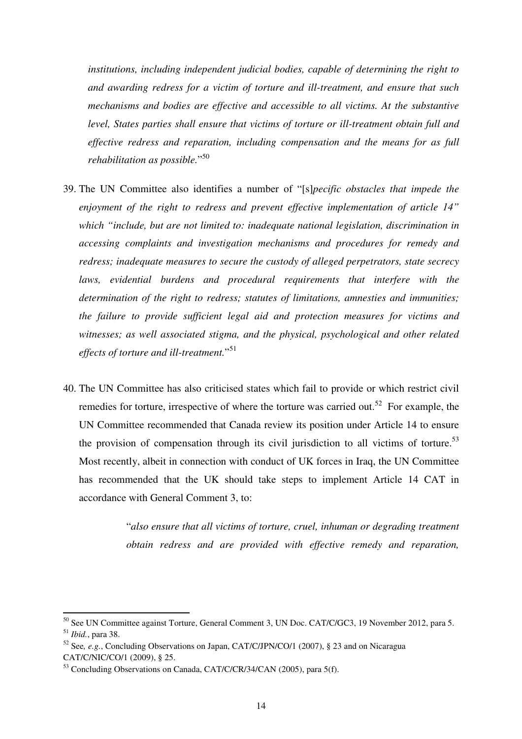*institutions, including independent judicial bodies, capable of determining the right to and awarding redress for a victim of torture and ill-treatment, and ensure that such mechanisms and bodies are effective and accessible to all victims. At the substantive level, States parties shall ensure that victims of torture or ill-treatment obtain full and effective redress and reparation, including compensation and the means for as full rehabilitation as possible.*" 50

- 39. The UN Committee also identifies a number of "[s]*pecific obstacles that impede the enjoyment of the right to redress and prevent effective implementation of article 14" which "include, but are not limited to: inadequate national legislation, discrimination in accessing complaints and investigation mechanisms and procedures for remedy and redress; inadequate measures to secure the custody of alleged perpetrators, state secrecy*  laws, evidential burdens and procedural requirements that interfere with the *determination of the right to redress; statutes of limitations, amnesties and immunities; the failure to provide sufficient legal aid and protection measures for victims and witnesses; as well associated stigma, and the physical, psychological and other related effects of torture and ill-treatment.*" 51
- 40. The UN Committee has also criticised states which fail to provide or which restrict civil remedies for torture, irrespective of where the torture was carried out.<sup>52</sup> For example, the UN Committee recommended that Canada review its position under Article 14 to ensure the provision of compensation through its civil jurisdiction to all victims of torture.<sup>53</sup> Most recently, albeit in connection with conduct of UK forces in Iraq, the UN Committee has recommended that the UK should take steps to implement Article 14 CAT in accordance with General Comment 3, to:

"*also ensure that all victims of torture, cruel, inhuman or degrading treatment obtain redress and are provided with effective remedy and reparation,* 

<sup>&</sup>lt;sup>50</sup> See UN Committee against Torture, General Comment 3, UN Doc. CAT/C/GC3, 19 November 2012, para 5. <sup>51</sup> *Ibid.*, para 38.

<sup>52</sup> See*, e.g.*, Concluding Observations on Japan, CAT/C/JPN/CO/1 (2007), § 23 and on Nicaragua CAT/C/NIC/CO/1 (2009), § 25.

<sup>&</sup>lt;sup>53</sup> Concluding Observations on Canada, CAT/C/CR/34/CAN (2005), para 5(f).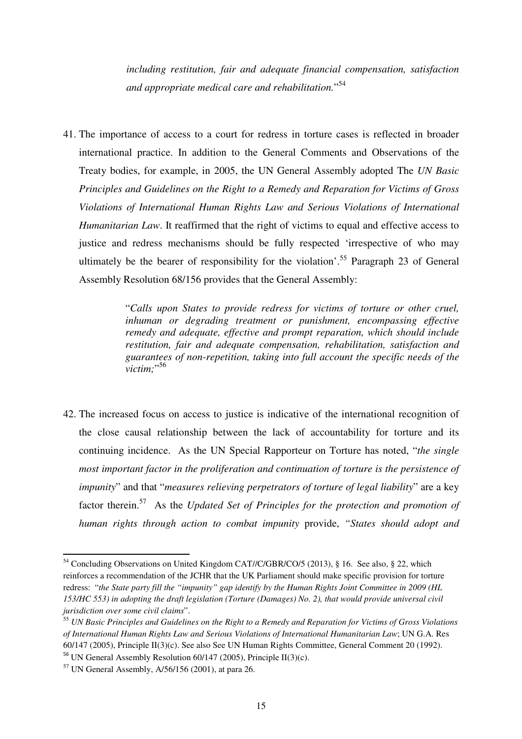*including restitution, fair and adequate financial compensation, satisfaction and appropriate medical care and rehabilitation.*" 54

41. The importance of access to a court for redress in torture cases is reflected in broader international practice. In addition to the General Comments and Observations of the Treaty bodies, for example, in 2005, the UN General Assembly adopted The *UN Basic Principles and Guidelines on the Right to a Remedy and Reparation for Victims of Gross Violations of International Human Rights Law and Serious Violations of International Humanitarian Law*. It reaffirmed that the right of victims to equal and effective access to justice and redress mechanisms should be fully respected 'irrespective of who may ultimately be the bearer of responsibility for the violation'.<sup>55</sup> Paragraph 23 of General Assembly Resolution 68/156 provides that the General Assembly:

> "*Calls upon States to provide redress for victims of torture or other cruel, inhuman or degrading treatment or punishment, encompassing effective remedy and adequate, effective and prompt reparation, which should include restitution, fair and adequate compensation, rehabilitation, satisfaction and guarantees of non-repetition, taking into full account the specific needs of the victim;*" 56

42. The increased focus on access to justice is indicative of the international recognition of the close causal relationship between the lack of accountability for torture and its continuing incidence. As the UN Special Rapporteur on Torture has noted, "*the single most important factor in the proliferation and continuation of torture is the persistence of impunity*" and that "*measures relieving perpetrators of torture of legal liability*" are a key factor therein.<sup>57</sup> As the *Updated Set of Principles for the protection and promotion of human rights through action to combat impunity* provide, *"States should adopt and* 

<sup>54</sup> Concluding Observations on United Kingdom CAT//C/GBR/CO/5 (2013), § 16. See also, § 22, which reinforces a recommendation of the JCHR that the UK Parliament should make specific provision for torture redress: "*the State party fill the "impunity" gap identify by the Human Rights Joint Committee in 2009 (HL 153/HC 553) in adopting the draft legislation (Torture (Damages) No. 2), that would provide universal civil jurisdiction over some civil claims*".

<sup>55</sup> *UN Basic Principles and Guidelines on the Right to a Remedy and Reparation for Victims of Gross Violations of International Human Rights Law and Serious Violations of International Humanitarian Law*; UN G.A. Res 60/147 (2005), Principle II(3)(c). See also See UN Human Rights Committee, General Comment 20 (1992). <sup>56</sup> UN General Assembly Resolution  $60/147$  (2005), Principle II(3)(c).

<sup>57</sup> UN General Assembly, A/56/156 (2001), at para 26.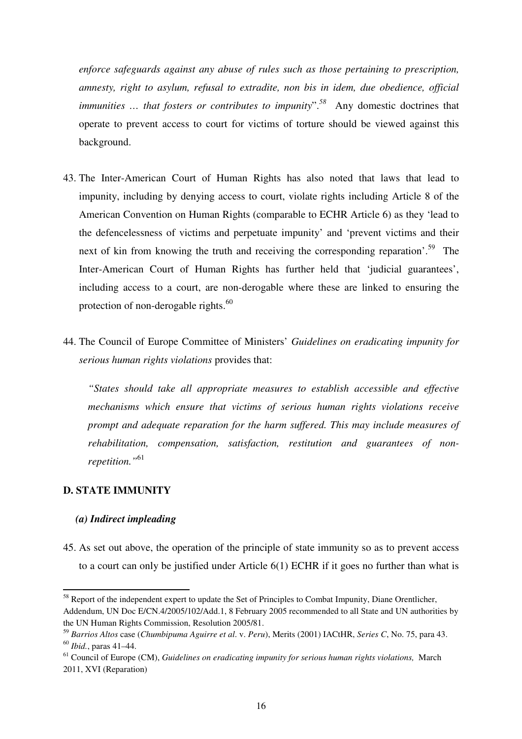*enforce safeguards against any abuse of rules such as those pertaining to prescription, amnesty, right to asylum, refusal to extradite, non bis in idem, due obedience, official immunities ... that fosters or contributes to impunity*".<sup>58</sup> Any domestic doctrines that operate to prevent access to court for victims of torture should be viewed against this background.

- 43. The Inter-American Court of Human Rights has also noted that laws that lead to impunity, including by denying access to court, violate rights including Article 8 of the American Convention on Human Rights (comparable to ECHR Article 6) as they 'lead to the defencelessness of victims and perpetuate impunity' and 'prevent victims and their next of kin from knowing the truth and receiving the corresponding reparation'.<sup>59</sup> The Inter-American Court of Human Rights has further held that 'judicial guarantees', including access to a court, are non-derogable where these are linked to ensuring the protection of non-derogable rights.<sup>60</sup>
- 44. The Council of Europe Committee of Ministers' *Guidelines on eradicating impunity for serious human rights violations* provides that:

*"States should take all appropriate measures to establish accessible and effective mechanisms which ensure that victims of serious human rights violations receive prompt and adequate reparation for the harm suffered. This may include measures of rehabilitation, compensation, satisfaction, restitution and guarantees of nonrepetition."*<sup>61</sup>

### **D. STATE IMMUNITY**

 $\overline{a}$ 

### *(a) Indirect impleading*

45. As set out above, the operation of the principle of state immunity so as to prevent access to a court can only be justified under Article 6(1) ECHR if it goes no further than what is

<sup>&</sup>lt;sup>58</sup> Report of the independent expert to update the Set of Principles to Combat Impunity, Diane Orentlicher, Addendum, UN Doc E/CN.4/2005/102/Add.1, 8 February 2005 recommended to all State and UN authorities by the UN Human Rights Commission, Resolution 2005/81.

<sup>59</sup> *Barrios Altos* case (*Chumbipuma Aguirre et al*. v. *Peru*), Merits (2001) IACtHR, *Series C*, No. 75, para 43. <sup>60</sup> *Ibid.*, paras 41–44.

<sup>61</sup> Council of Europe (CM), *Guidelines on eradicating impunity for serious human rights violations,* March 2011, XVI (Reparation)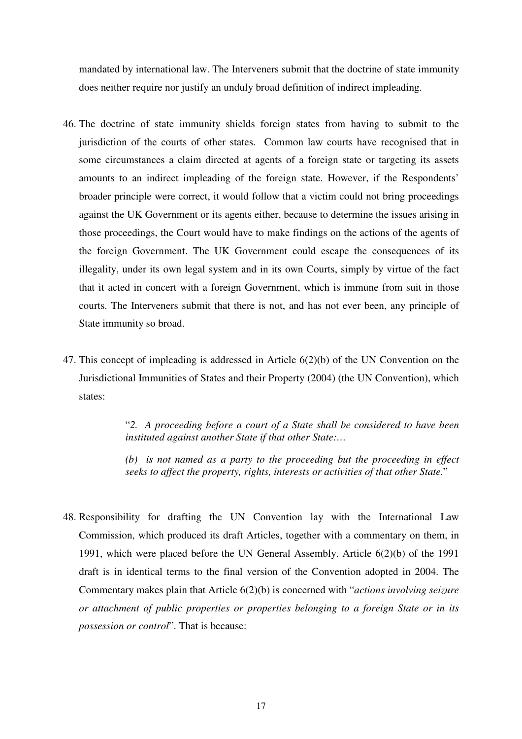mandated by international law. The Interveners submit that the doctrine of state immunity does neither require nor justify an unduly broad definition of indirect impleading.

- 46. The doctrine of state immunity shields foreign states from having to submit to the jurisdiction of the courts of other states. Common law courts have recognised that in some circumstances a claim directed at agents of a foreign state or targeting its assets amounts to an indirect impleading of the foreign state. However, if the Respondents' broader principle were correct, it would follow that a victim could not bring proceedings against the UK Government or its agents either, because to determine the issues arising in those proceedings, the Court would have to make findings on the actions of the agents of the foreign Government. The UK Government could escape the consequences of its illegality, under its own legal system and in its own Courts, simply by virtue of the fact that it acted in concert with a foreign Government, which is immune from suit in those courts. The Interveners submit that there is not, and has not ever been, any principle of State immunity so broad.
- 47. This concept of impleading is addressed in Article 6(2)(b) of the UN Convention on the Jurisdictional Immunities of States and their Property (2004) (the UN Convention), which states:

"*2. A proceeding before a court of a State shall be considered to have been instituted against another State if that other State:…* 

*(b) is not named as a party to the proceeding but the proceeding in effect seeks to affect the property, rights, interests or activities of that other State.*"

48. Responsibility for drafting the UN Convention lay with the International Law Commission, which produced its draft Articles, together with a commentary on them, in 1991, which were placed before the UN General Assembly. Article 6(2)(b) of the 1991 draft is in identical terms to the final version of the Convention adopted in 2004. The Commentary makes plain that Article 6(2)(b) is concerned with "*actions involving seizure or attachment of public properties or properties belonging to a foreign State or in its possession or control*". That is because: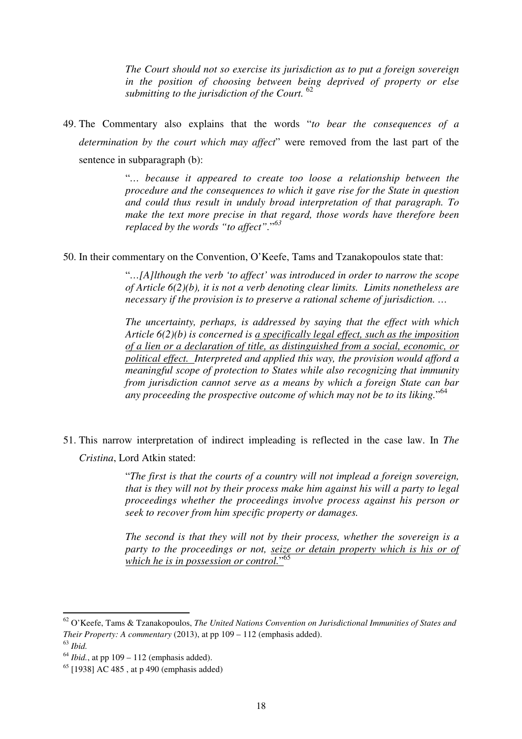*The Court should not so exercise its jurisdiction as to put a foreign sovereign in the position of choosing between being deprived of property or else submitting to the jurisdiction of the Court.* <sup>62</sup>

49. The Commentary also explains that the words "*to bear the consequences of a determination by the court which may affect*" were removed from the last part of the sentence in subparagraph (b):

> "*… because it appeared to create too loose a relationship between the procedure and the consequences to which it gave rise for the State in question and could thus result in unduly broad interpretation of that paragraph. To make the text more precise in that regard, those words have therefore been replaced by the words "to affect".*" *63*

50. In their commentary on the Convention, O'Keefe, Tams and Tzanakopoulos state that:

"*…[A]lthough the verb 'to affect' was introduced in order to narrow the scope of Article 6(2)(b), it is not a verb denoting clear limits. Limits nonetheless are necessary if the provision is to preserve a rational scheme of jurisdiction. …* 

*The uncertainty, perhaps, is addressed by saying that the effect with which Article 6(2)(b) is concerned is a specifically legal effect, such as the imposition of a lien or a declaration of title, as distinguished from a social, economic, or political effect. Interpreted and applied this way, the provision would afford a meaningful scope of protection to States while also recognizing that immunity from jurisdiction cannot serve as a means by which a foreign State can bar any proceeding the prospective outcome of which may not be to its liking.*" 64

51. This narrow interpretation of indirect impleading is reflected in the case law. In *The Cristina*, Lord Atkin stated:

> "*The first is that the courts of a country will not implead a foreign sovereign, that is they will not by their process make him against his will a party to legal proceedings whether the proceedings involve process against his person or seek to recover from him specific property or damages.*

> *The second is that they will not by their process, whether the sovereign is a party to the proceedings or not, seize or detain property which is his or of which he is in possession or control.*" 65

<sup>62</sup> O'Keefe, Tams & Tzanakopoulos, *The United Nations Convention on Jurisdictional Immunities of States and Their Property: A commentary* (2013), at pp 109 – 112 (emphasis added). <sup>63</sup> *Ibid.*

 $64$  *Ibid.*, at pp  $109 - 112$  (emphasis added).

 $65$  [1938] AC 485, at p 490 (emphasis added)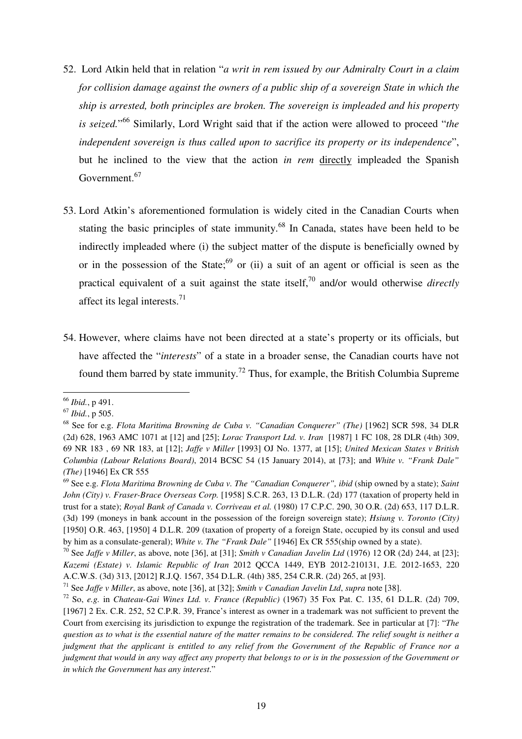- 52. Lord Atkin held that in relation "*a writ in rem issued by our Admiralty Court in a claim for collision damage against the owners of a public ship of a sovereign State in which the ship is arrested, both principles are broken. The sovereign is impleaded and his property is seized.*" <sup>66</sup> Similarly, Lord Wright said that if the action were allowed to proceed "*the independent sovereign is thus called upon to sacrifice its property or its independence*", but he inclined to the view that the action *in rem* directly impleaded the Spanish Government.<sup>67</sup>
- 53. Lord Atkin's aforementioned formulation is widely cited in the Canadian Courts when stating the basic principles of state immunity.<sup>68</sup> In Canada, states have been held to be indirectly impleaded where (i) the subject matter of the dispute is beneficially owned by or in the possession of the State;<sup>69</sup> or (ii) a suit of an agent or official is seen as the practical equivalent of a suit against the state itself,<sup>70</sup> and/or would otherwise *directly* affect its legal interests.<sup>71</sup>
- 54. However, where claims have not been directed at a state's property or its officials, but have affected the "*interests*" of a state in a broader sense, the Canadian courts have not found them barred by state immunity.<sup>72</sup> Thus, for example, the British Columbia Supreme

<sup>66</sup> *Ibid.*, p 491.

<sup>67</sup> *Ibid.*, p 505.

<sup>68</sup> See for e.g. *Flota Maritima Browning de Cuba v. "Canadian Conquerer" (The)* [1962] SCR 598, 34 DLR (2d) 628, 1963 AMC 1071 at [12] and [25]; *Lorac Transport Ltd. v. Iran* [1987] 1 FC 108, 28 DLR (4th) 309, 69 NR 183 , 69 NR 183, at [12]; *Jaffe v Miller* [1993] OJ No. 1377, at [15]; *United Mexican States v British Columbia (Labour Relations Board)*, 2014 BCSC 54 (15 January 2014), at [73]; and *White v. "Frank Dale" (The)* [1946] Ex CR 555

<sup>69</sup> See e.g. *Flota Maritima Browning de Cuba v. The "Canadian Conquerer", ibid* (ship owned by a state); *Saint John (City) v. Fraser-Brace Overseas Corp.* [1958] S.C.R. 263, 13 D.L.R. (2d) 177 (taxation of property held in trust for a state); *Royal Bank of Canada v. Corriveau et al.* (1980) 17 C.P.C. 290, 30 O.R. (2d) 653, 117 D.L.R. (3d) 199 (moneys in bank account in the possession of the foreign sovereign state); *Hsiung v. Toronto (City)* [1950] O.R. 463, [1950] 4 D.L.R. 209 (taxation of property of a foreign State, occupied by its consul and used by him as a consulate-general); *White v. The "Frank Dale"* [1946] Ex CR 555(ship owned by a state).

<sup>70</sup> See *Jaffe v Miller*, as above, note [36], at [31]; *Smith v Canadian Javelin Ltd* (1976) 12 OR (2d) 244, at [23]; *Kazemi (Estate) v. Islamic Republic of Iran* 2012 QCCA 1449, EYB 2012-210131, J.E. 2012-1653, 220 A.C.W.S. (3d) 313, [2012] R.J.Q. 1567, 354 D.L.R. (4th) 385, 254 C.R.R. (2d) 265, at [93].

<sup>71</sup> See *Jaffe v Miller*, as above, note [36], at [32]; *Smith v Canadian Javelin Ltd*, *supra* note [38].

<sup>72</sup> So, *e.g.* in *Chateau-Gai Wines Ltd. v. France (Republic)* (1967) 35 Fox Pat. C. 135, 61 D.L.R. (2d) 709, [1967] 2 Ex. C.R. 252, 52 C.P.R. 39, France's interest as owner in a trademark was not sufficient to prevent the Court from exercising its jurisdiction to expunge the registration of the trademark. See in particular at [7]: "*The question as to what is the essential nature of the matter remains to be considered. The relief sought is neither a judgment that the applicant is entitled to any relief from the Government of the Republic of France nor a judgment that would in any way affect any property that belongs to or is in the possession of the Government or in which the Government has any interest*."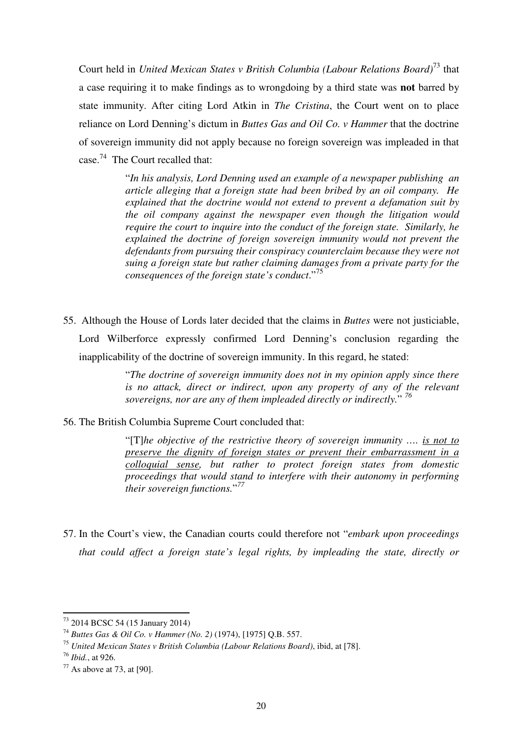Court held in *United Mexican States v British Columbia (Labour Relations Board)*<sup>73</sup> that a case requiring it to make findings as to wrongdoing by a third state was **not** barred by state immunity. After citing Lord Atkin in *The Cristina*, the Court went on to place reliance on Lord Denning's dictum in *Buttes Gas and Oil Co. v Hammer* that the doctrine of sovereign immunity did not apply because no foreign sovereign was impleaded in that case.<sup>74</sup> The Court recalled that:

> "*In his analysis, Lord Denning used an example of a newspaper publishing an article alleging that a foreign state had been bribed by an oil company. He explained that the doctrine would not extend to prevent a defamation suit by the oil company against the newspaper even though the litigation would require the court to inquire into the conduct of the foreign state. Similarly, he explained the doctrine of foreign sovereign immunity would not prevent the defendants from pursuing their conspiracy counterclaim because they were not suing a foreign state but rather claiming damages from a private party for the consequences of the foreign state's conduct*."<sup>75</sup>

55. Although the House of Lords later decided that the claims in *Buttes* were not justiciable, Lord Wilberforce expressly confirmed Lord Denning's conclusion regarding the inapplicability of the doctrine of sovereign immunity. In this regard, he stated:

> "*The doctrine of sovereign immunity does not in my opinion apply since there is no attack, direct or indirect, upon any property of any of the relevant sovereigns, nor are any of them impleaded directly or indirectly.*" *76*

56. The British Columbia Supreme Court concluded that:

"[T]*he objective of the restrictive theory of sovereign immunity …. is not to preserve the dignity of foreign states or prevent their embarrassment in a colloquial sense, but rather to protect foreign states from domestic proceedings that would stand to interfere with their autonomy in performing their sovereign functions.*" *77*

57. In the Court's view, the Canadian courts could therefore not "*embark upon proceedings that could affect a foreign state's legal rights, by impleading the state, directly or* 

<sup>73</sup> 2014 BCSC 54 (15 January 2014)

<sup>74</sup> *Buttes Gas & Oil Co. v Hammer (No. 2)* (1974), [1975] Q.B. 557.

<sup>75</sup> *United Mexican States v British Columbia (Labour Relations Board)*, ibid, at [78].

<sup>76</sup> *Ibid.*, at 926.

 $77$  As above at 73, at [90].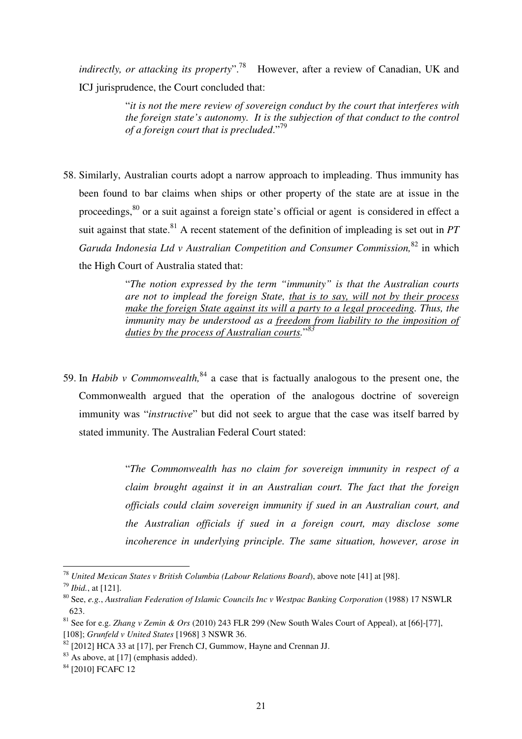*indirectly, or attacking its property*".<sup>78</sup> However, after a review of Canadian, UK and ICJ jurisprudence, the Court concluded that:

> "*it is not the mere review of sovereign conduct by the court that interferes with the foreign state's autonomy. It is the subjection of that conduct to the control of a foreign court that is precluded*."<sup>79</sup>

58. Similarly, Australian courts adopt a narrow approach to impleading. Thus immunity has been found to bar claims when ships or other property of the state are at issue in the proceedings,<sup>80</sup> or a suit against a foreign state's official or agent is considered in effect a suit against that state.<sup>81</sup> A recent statement of the definition of impleading is set out in  $PT$ *Garuda Indonesia Ltd v Australian Competition and Consumer Commission,*<sup>82</sup> in which the High Court of Australia stated that:

> "*The notion expressed by the term "immunity" is that the Australian courts are not to implead the foreign State, that is to say, will not by their process make the foreign State against its will a party to a legal proceeding. Thus, the immunity may be understood as a freedom from liability to the imposition of duties by the process of Australian courts.*" *83*

59. In *Habib v Commonwealth*,  $84$  a case that is factually analogous to the present one, the Commonwealth argued that the operation of the analogous doctrine of sovereign immunity was "*instructive*" but did not seek to argue that the case was itself barred by stated immunity. The Australian Federal Court stated:

> "*The Commonwealth has no claim for sovereign immunity in respect of a claim brought against it in an Australian court. The fact that the foreign officials could claim sovereign immunity if sued in an Australian court, and the Australian officials if sued in a foreign court, may disclose some incoherence in underlying principle. The same situation, however, arose in*

<sup>78</sup> *United Mexican States v British Columbia (Labour Relations Board*), above note [41] at [98].

<sup>79</sup> *Ibid.*, at [121].

<sup>80</sup> See, *e.g.*, *Australian Federation of Islamic Councils Inc v Westpac Banking Corporation* (1988) 17 NSWLR 623.

<sup>81</sup> See for e.g. *Zhang v Zemin & Ors* (2010) 243 FLR 299 (New South Wales Court of Appeal), at [66]-[77], [108]; *Grunfeld v United States* [1968] 3 NSWR 36.

 $82$  [2012] HCA 33 at [17], per French CJ, Gummow, Hayne and Crennan JJ.

<sup>&</sup>lt;sup>83</sup> As above, at [17] (emphasis added).

<sup>&</sup>lt;sup>84</sup> [2010] FCAFC 12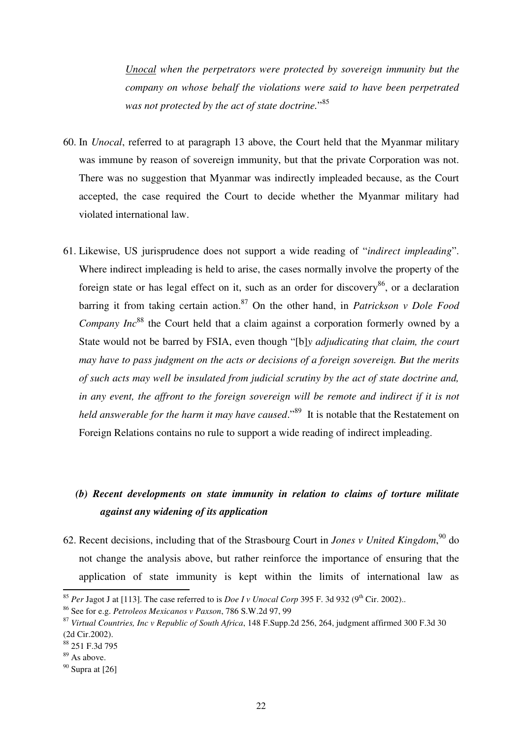*Unocal when the perpetrators were protected by sovereign immunity but the company on whose behalf the violations were said to have been perpetrated was not protected by the act of state doctrine.*" 85

- 60. In *Unocal*, referred to at paragraph 13 above, the Court held that the Myanmar military was immune by reason of sovereign immunity, but that the private Corporation was not. There was no suggestion that Myanmar was indirectly impleaded because, as the Court accepted, the case required the Court to decide whether the Myanmar military had violated international law.
- 61. Likewise, US jurisprudence does not support a wide reading of "*indirect impleading*". Where indirect impleading is held to arise, the cases normally involve the property of the foreign state or has legal effect on it, such as an order for discovery<sup>86</sup>, or a declaration barring it from taking certain action.<sup>87</sup> On the other hand, in *Patrickson v Dole Food Company Inc*<sup>88</sup> the Court held that a claim against a corporation formerly owned by a State would not be barred by FSIA, even though "[b]*y adjudicating that claim, the court may have to pass judgment on the acts or decisions of a foreign sovereign. But the merits of such acts may well be insulated from judicial scrutiny by the act of state doctrine and, in any event, the affront to the foreign sovereign will be remote and indirect if it is not held answerable for the harm it may have caused.*<sup>89</sup> It is notable that the Restatement on Foreign Relations contains no rule to support a wide reading of indirect impleading.

## *(b) Recent developments on state immunity in relation to claims of torture militate against any widening of its application*

62. Recent decisions, including that of the Strasbourg Court in *Jones v United Kingdom*,<sup>90</sup> do not change the analysis above, but rather reinforce the importance of ensuring that the application of state immunity is kept within the limits of international law as  $\overline{a}$ 

<sup>&</sup>lt;sup>85</sup> *Per* Jagot J at [113]. The case referred to is *Doe I v Unocal Corp* 395 F. 3d 932 (9<sup>th</sup> Cir. 2002)..

<sup>86</sup> See for e.g. *Petroleos Mexicanos v Paxson*, 786 S.W.2d 97, 99

<sup>87</sup> *Virtual Countries, Inc v Republic of South Africa*, 148 F.Supp.2d 256, 264, judgment affirmed 300 F.3d 30 (2d Cir.2002).

<sup>88</sup> 251 F.3d 795

<sup>&</sup>lt;sup>89</sup> As above.

 $90$  Supra at [26]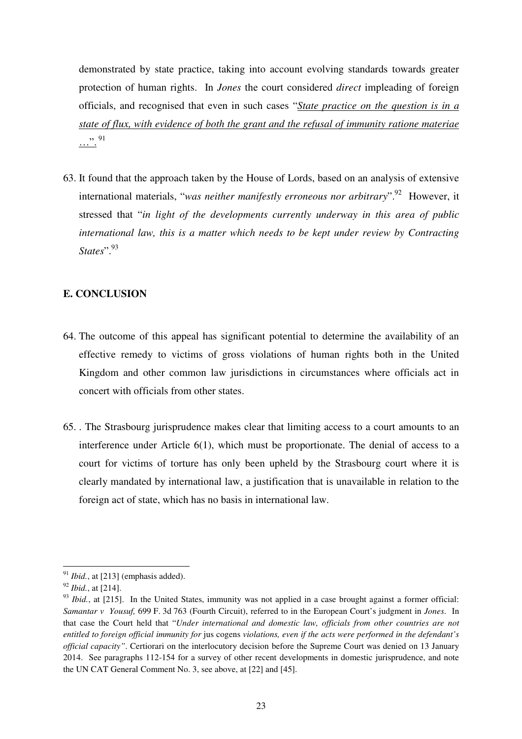demonstrated by state practice, taking into account evolving standards towards greater protection of human rights. In *Jones* the court considered *direct* impleading of foreign officials, and recognised that even in such cases "*State practice on the question is in a state of flux, with evidence of both the grant and the refusal of immunity ratione materiae*   $\cdots$  91

63. It found that the approach taken by the House of Lords, based on an analysis of extensive international materials, "*was neither manifestly erroneous nor arbitrary*".<sup>92</sup> However, it stressed that "*in light of the developments currently underway in this area of public international law, this is a matter which needs to be kept under review by Contracting States*".<sup>93</sup>

## **E. CONCLUSION**

- 64. The outcome of this appeal has significant potential to determine the availability of an effective remedy to victims of gross violations of human rights both in the United Kingdom and other common law jurisdictions in circumstances where officials act in concert with officials from other states.
- 65. . The Strasbourg jurisprudence makes clear that limiting access to a court amounts to an interference under Article 6(1), which must be proportionate. The denial of access to a court for victims of torture has only been upheld by the Strasbourg court where it is clearly mandated by international law, a justification that is unavailable in relation to the foreign act of state, which has no basis in international law.

<sup>&</sup>lt;sup>91</sup> *Ibid.*, at [213] (emphasis added).

<sup>92</sup> *Ibid.*, at [214].

<sup>&</sup>lt;sup>93</sup> *Ibid.*, at [215]. In the United States, immunity was not applied in a case brought against a former official: *Samantar v Yousuf,* 699 F. 3d 763 (Fourth Circuit), referred to in the European Court's judgment in *Jones*. In that case the Court held that "*Under international and domestic law, officials from other countries are not entitled to foreign official immunity for* jus cogens *violations, even if the acts were performed in the defendant's official capacity"*. Certiorari on the interlocutory decision before the Supreme Court was denied on 13 January 2014. See paragraphs 112-154 for a survey of other recent developments in domestic jurisprudence, and note the UN CAT General Comment No. 3, see above, at [22] and [45].